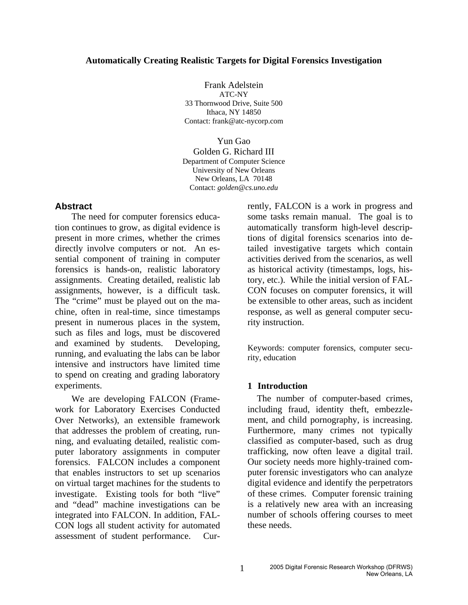#### **Automatically Creating Realistic Targets for Digital Forensics Investigation**

Frank Adelstein ATC-NY 33 Thornwood Drive, Suite 500 Ithaca, NY 14850 Contact: frank@atc-nycorp.com

Yun Gao Golden G. Richard III Department of Computer Science University of New Orleans New Orleans, LA 70148 Contact: *golden@cs.uno.edu* 

## **Abstract**

The need for computer forensics education continues to grow, as digital evidence is present in more crimes, whether the crimes directly involve computers or not. An essential component of training in computer forensics is hands-on, realistic laboratory assignments. Creating detailed, realistic lab assignments, however, is a difficult task. The "crime" must be played out on the machine, often in real-time, since timestamps present in numerous places in the system, such as files and logs, must be discovered and examined by students. Developing, running, and evaluating the labs can be labor intensive and instructors have limited time to spend on creating and grading laboratory experiments.

We are developing FALCON (Framework for Laboratory Exercises Conducted Over Networks), an extensible framework that addresses the problem of creating, running, and evaluating detailed, realistic computer laboratory assignments in computer forensics. FALCON includes a component that enables instructors to set up scenarios on virtual target machines for the students to investigate. Existing tools for both "live" and "dead" machine investigations can be integrated into FALCON. In addition, FAL-CON logs all student activity for automated assessment of student performance. Currently, FALCON is a work in progress and some tasks remain manual. The goal is to automatically transform high-level descriptions of digital forensics scenarios into detailed investigative targets which contain activities derived from the scenarios, as well as historical activity (timestamps, logs, history, etc.). While the initial version of FAL-CON focuses on computer forensics, it will be extensible to other areas, such as incident response, as well as general computer security instruction.

Keywords: computer forensics, computer security, education

### **1 Introduction**

The number of computer-based crimes, including fraud, identity theft, embezzlement, and child pornography, is increasing. Furthermore, many crimes not typically classified as computer-based, such as drug trafficking, now often leave a digital trail. Our society needs more highly-trained computer forensic investigators who can analyze digital evidence and identify the perpetrators of these crimes. Computer forensic training is a relatively new area with an increasing number of schools offering courses to meet these needs.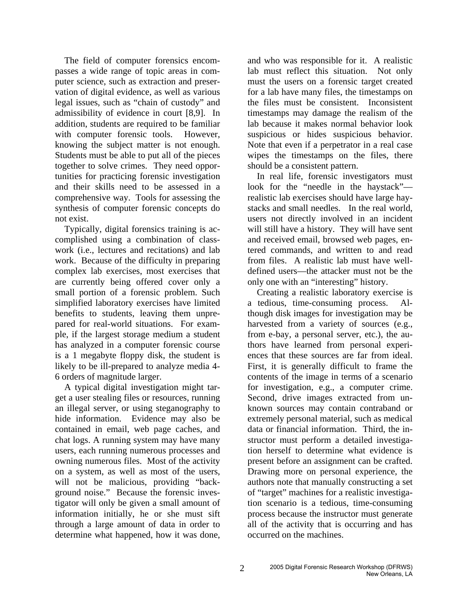The field of computer forensics encompasses a wide range of topic areas in computer science, such as extraction and preservation of digital evidence, as well as various legal issues, such as "chain of custody" and admissibility of evidence in court [8,9]. In addition, students are required to be familiar with computer forensic tools. However, knowing the subject matter is not enough. Students must be able to put all of the pieces together to solve crimes. They need opportunities for practicing forensic investigation and their skills need to be assessed in a comprehensive way. Tools for assessing the synthesis of computer forensic concepts do not exist.

Typically, digital forensics training is accomplished using a combination of classwork (i.e., lectures and recitations) and lab work. Because of the difficulty in preparing complex lab exercises, most exercises that are currently being offered cover only a small portion of a forensic problem. Such simplified laboratory exercises have limited benefits to students, leaving them unprepared for real-world situations. For example, if the largest storage medium a student has analyzed in a computer forensic course is a 1 megabyte floppy disk, the student is likely to be ill-prepared to analyze media 4- 6 orders of magnitude larger.

A typical digital investigation might target a user stealing files or resources, running an illegal server, or using steganography to hide information. Evidence may also be contained in email, web page caches, and chat logs. A running system may have many users, each running numerous processes and owning numerous files. Most of the activity on a system, as well as most of the users, will not be malicious, providing "background noise." Because the forensic investigator will only be given a small amount of information initially, he or she must sift through a large amount of data in order to determine what happened, how it was done,

and who was responsible for it. A realistic lab must reflect this situation. Not only must the users on a forensic target created for a lab have many files, the timestamps on the files must be consistent. Inconsistent timestamps may damage the realism of the lab because it makes normal behavior look suspicious or hides suspicious behavior. Note that even if a perpetrator in a real case wipes the timestamps on the files, there should be a consistent pattern.

In real life, forensic investigators must look for the "needle in the haystack" realistic lab exercises should have large haystacks and small needles. In the real world, users not directly involved in an incident will still have a history. They will have sent and received email, browsed web pages, entered commands, and written to and read from files. A realistic lab must have welldefined users—the attacker must not be the only one with an "interesting" history.

Creating a realistic laboratory exercise is a tedious, time-consuming process. Although disk images for investigation may be harvested from a variety of sources (e.g., from e-bay, a personal server, etc.), the authors have learned from personal experiences that these sources are far from ideal. First, it is generally difficult to frame the contents of the image in terms of a scenario for investigation, e.g., a computer crime. Second, drive images extracted from unknown sources may contain contraband or extremely personal material, such as medical data or financial information. Third, the instructor must perform a detailed investigation herself to determine what evidence is present before an assignment can be crafted. Drawing more on personal experience, the authors note that manually constructing a set of "target" machines for a realistic investigation scenario is a tedious, time-consuming process because the instructor must generate all of the activity that is occurring and has occurred on the machines.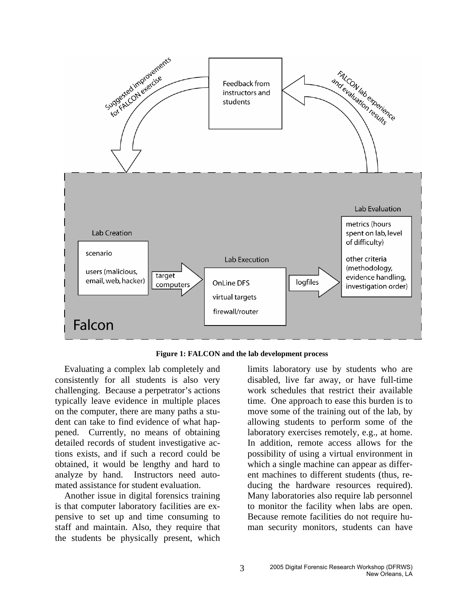

**Figure 1: FALCON and the lab development process** 

Evaluating a complex lab completely and consistently for all students is also very challenging. Because a perpetrator's actions typically leave evidence in multiple places on the computer, there are many paths a student can take to find evidence of what happened. Currently, no means of obtaining detailed records of student investigative actions exists, and if such a record could be obtained, it would be lengthy and hard to analyze by hand. Instructors need automated assistance for student evaluation.

Another issue in digital forensics training is that computer laboratory facilities are expensive to set up and time consuming to staff and maintain. Also, they require that the students be physically present, which limits laboratory use by students who are disabled, live far away, or have full-time work schedules that restrict their available time. One approach to ease this burden is to move some of the training out of the lab, by allowing students to perform some of the laboratory exercises remotely, e.g., at home. In addition, remote access allows for the possibility of using a virtual environment in which a single machine can appear as different machines to different students (thus, reducing the hardware resources required). Many laboratories also require lab personnel to monitor the facility when labs are open. Because remote facilities do not require human security monitors, students can have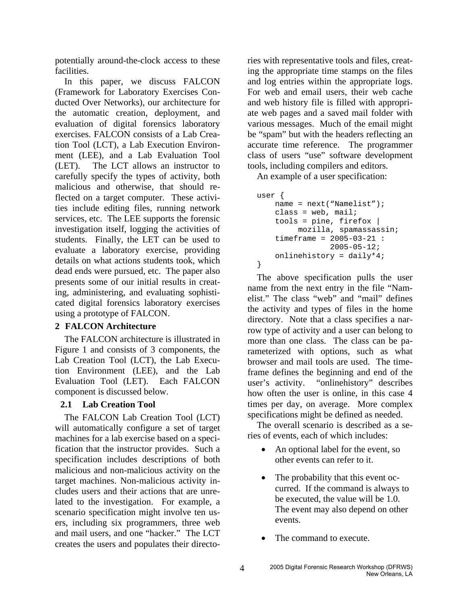potentially around-the-clock access to these facilities.

In this paper, we discuss FALCON (Framework for Laboratory Exercises Conducted Over Networks), our architecture for the automatic creation, deployment, and evaluation of digital forensics laboratory exercises. FALCON consists of a Lab Creation Tool (LCT), a Lab Execution Environment (LEE), and a Lab Evaluation Tool (LET). The LCT allows an instructor to carefully specify the types of activity, both malicious and otherwise, that should reflected on a target computer. These activities include editing files, running network services, etc. The LEE supports the forensic investigation itself, logging the activities of students. Finally, the LET can be used to evaluate a laboratory exercise, providing details on what actions students took, which dead ends were pursued, etc. The paper also presents some of our initial results in creating, administering, and evaluating sophisticated digital forensics laboratory exercises using a prototype of FALCON.

## **2 FALCON Architecture**

The FALCON architecture is illustrated in Figure 1 and consists of 3 components, the Lab Creation Tool (LCT), the Lab Execution Environment (LEE), and the Lab Evaluation Tool (LET). Each FALCON component is discussed below.

## **2.1 Lab Creation Tool**

The FALCON Lab Creation Tool (LCT) will automatically configure a set of target machines for a lab exercise based on a specification that the instructor provides. Such a specification includes descriptions of both malicious and non-malicious activity on the target machines. Non-malicious activity includes users and their actions that are unrelated to the investigation. For example, a scenario specification might involve ten users, including six programmers, three web and mail users, and one "hacker." The LCT creates the users and populates their directories with representative tools and files, creating the appropriate time stamps on the files and log entries within the appropriate logs. For web and email users, their web cache and web history file is filled with appropriate web pages and a saved mail folder with various messages. Much of the email might be "spam" but with the headers reflecting an accurate time reference. The programmer class of users "use" software development tools, including compilers and editors.

An example of a user specification:

```
user { 
    name = next("Namelist"); 
    class = web, mail;tools = pine, firefox | 
          mozilla, spamassassin; 
    timeframe = 2005-03-21 : 
                  2005-05-12; 
    onlinehistory = daily*4; 
}
```
The above specification pulls the user name from the next entry in the file "Namelist." The class "web" and "mail" defines the activity and types of files in the home directory. Note that a class specifies a narrow type of activity and a user can belong to more than one class. The class can be parameterized with options, such as what browser and mail tools are used. The timeframe defines the beginning and end of the user's activity. "onlinehistory" describes how often the user is online, in this case 4 times per day, on average. More complex specifications might be defined as needed.

The overall scenario is described as a series of events, each of which includes:

- An optional label for the event, so other events can refer to it.
- The probability that this event occurred. If the command is always to be executed, the value will be 1.0. The event may also depend on other events.
- The command to execute.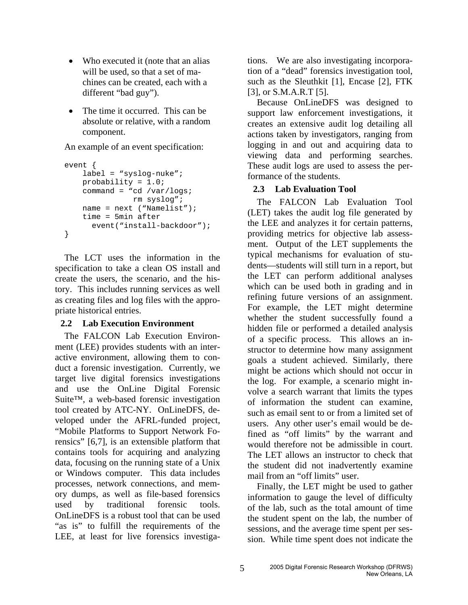- Who executed it (note that an alias will be used, so that a set of machines can be created, each with a different "bad guy").
- The time it occurred. This can be absolute or relative, with a random component.

An example of an event specification:

```
event { 
    label = "syslog-nuke"; 
    probability = 1.0; 
    command = "cd /var/logs; 
                 rm syslog"; 
    name = next ("Namelist"); 
    time = 5min after 
       event("install-backdoor"); 
}
```
The LCT uses the information in the specification to take a clean OS install and create the users, the scenario, and the history. This includes running services as well as creating files and log files with the appropriate historical entries.

# **2.2 Lab Execution Environment**

The FALCON Lab Execution Environment (LEE) provides students with an interactive environment, allowing them to conduct a forensic investigation. Currently, we target live digital forensics investigations and use the OnLine Digital Forensic Suite™, a web-based forensic investigation tool created by ATC-NY. OnLineDFS, developed under the AFRL-funded project, "Mobile Platforms to Support Network Forensics" [6,7], is an extensible platform that contains tools for acquiring and analyzing data, focusing on the running state of a Unix or Windows computer. This data includes processes, network connections, and memory dumps, as well as file-based forensics used by traditional forensic tools. OnLineDFS is a robust tool that can be used "as is" to fulfill the requirements of the LEE, at least for live forensics investigations. We are also investigating incorporation of a "dead" forensics investigation tool, such as the Sleuthkit [1], Encase [2], FTK [3], or S.M.A.R.T [5].

Because OnLineDFS was designed to support law enforcement investigations, it creates an extensive audit log detailing all actions taken by investigators, ranging from logging in and out and acquiring data to viewing data and performing searches. These audit logs are used to assess the performance of the students.

# **2.3 Lab Evaluation Tool**

The FALCON Lab Evaluation Tool (LET) takes the audit log file generated by the LEE and analyzes it for certain patterns, providing metrics for objective lab assessment. Output of the LET supplements the typical mechanisms for evaluation of students—students will still turn in a report, but the LET can perform additional analyses which can be used both in grading and in refining future versions of an assignment. For example, the LET might determine whether the student successfully found a hidden file or performed a detailed analysis of a specific process. This allows an instructor to determine how many assignment goals a student achieved. Similarly, there might be actions which should not occur in the log. For example, a scenario might involve a search warrant that limits the types of information the student can examine, such as email sent to or from a limited set of users. Any other user's email would be defined as "off limits" by the warrant and would therefore not be admissible in court. The LET allows an instructor to check that the student did not inadvertently examine mail from an "off limits" user.

Finally, the LET might be used to gather information to gauge the level of difficulty of the lab, such as the total amount of time the student spent on the lab, the number of sessions, and the average time spent per session. While time spent does not indicate the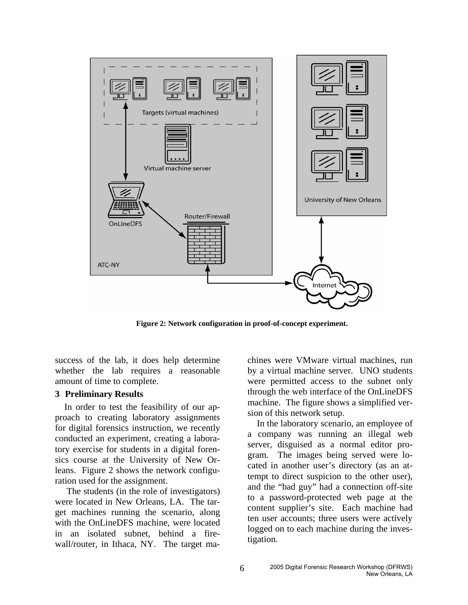

**Figure 2: Network configuration in proof-of-concept experiment.** 

success of the lab, it does help determine whether the lab requires a reasonable amount of time to complete.

#### **3 Preliminary Results**

In order to test the feasibility of our approach to creating laboratory assignments for digital forensics instruction, we recently conducted an experiment, creating a laboratory exercise for students in a digital forensics course at the University of New Orleans. Figure 2 shows the network configuration used for the assignment.

The students (in the role of investigators) were located in New Orleans, LA. The target machines running the scenario, along with the OnLineDFS machine, were located in an isolated subnet, behind a firewall/router, in Ithaca, NY. The target machines were VMware virtual machines, run by a virtual machine server. UNO students were permitted access to the subnet only through the web interface of the OnLineDFS machine. The figure shows a simplified version of this network setup.

In the laboratory scenario, an employee of a company was running an illegal web server, disguised as a normal editor program. The images being served were located in another user's directory (as an attempt to direct suspicion to the other user), and the "bad guy" had a connection off-site to a password-protected web page at the content supplier's site. Each machine had ten user accounts; three users were actively logged on to each machine during the investigation.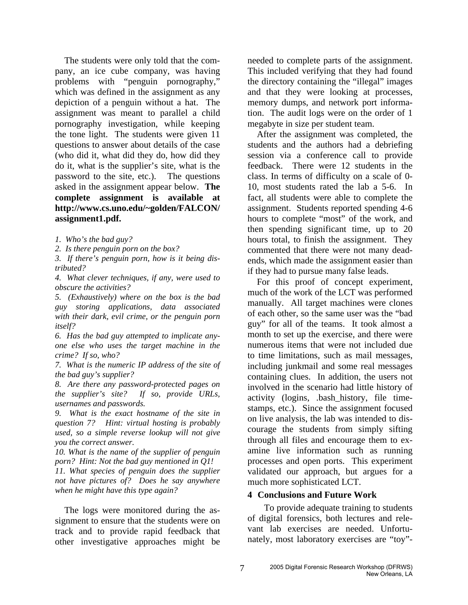The students were only told that the company, an ice cube company, was having problems with "penguin pornography," which was defined in the assignment as any depiction of a penguin without a hat. The assignment was meant to parallel a child pornography investigation, while keeping the tone light. The students were given 11 questions to answer about details of the case (who did it, what did they do, how did they do it, what is the supplier's site, what is the password to the site, etc.). The questions asked in the assignment appear below. **The complete assignment is available at http://www.cs.uno.edu/~golden/FALCON/ assignment1.pdf.** 

*1. Who's the bad guy?* 

*2. Is there penguin porn on the box?* 

*3. If there's penguin porn, how is it being distributed?* 

*4. What clever techniques, if any, were used to obscure the activities?* 

*5. (Exhaustively) where on the box is the bad guy storing applications, data associated with their dark, evil crime, or the penguin porn itself?* 

*6. Has the bad guy attempted to implicate anyone else who uses the target machine in the crime? If so, who?* 

*7. What is the numeric IP address of the site of the bad guy's supplier?* 

*8. Are there any password-protected pages on the supplier's site? If so, provide URLs, usernames and passwords.* 

*9. What is the exact hostname of the site in question 7? Hint: virtual hosting is probably used, so a simple reverse lookup will not give you the correct answer.* 

*10. What is the name of the supplier of penguin porn? Hint: Not the bad guy mentioned in Q1!* 

*11. What species of penguin does the supplier not have pictures of? Does he say anywhere when he might have this type again?* 

The logs were monitored during the assignment to ensure that the students were on track and to provide rapid feedback that other investigative approaches might be

needed to complete parts of the assignment. This included verifying that they had found the directory containing the "illegal" images and that they were looking at processes, memory dumps, and network port information. The audit logs were on the order of 1 megabyte in size per student team.

After the assignment was completed, the students and the authors had a debriefing session via a conference call to provide feedback. There were 12 students in the class. In terms of difficulty on a scale of 0- 10, most students rated the lab a 5-6. In fact, all students were able to complete the assignment. Students reported spending 4-6 hours to complete "most" of the work, and then spending significant time, up to 20 hours total, to finish the assignment. They commented that there were not many deadends, which made the assignment easier than if they had to pursue many false leads.

For this proof of concept experiment, much of the work of the LCT was performed manually. All target machines were clones of each other, so the same user was the "bad guy" for all of the teams. It took almost a month to set up the exercise, and there were numerous items that were not included due to time limitations, such as mail messages, including junkmail and some real messages containing clues. In addition, the users not involved in the scenario had little history of activity (logins, .bash\_history, file timestamps, etc.). Since the assignment focused on live analysis, the lab was intended to discourage the students from simply sifting through all files and encourage them to examine live information such as running processes and open ports. This experiment validated our approach, but argues for a much more sophisticated LCT.

### **4 Conclusions and Future Work**

To provide adequate training to students of digital forensics, both lectures and relevant lab exercises are needed. Unfortunately, most laboratory exercises are "toy"-